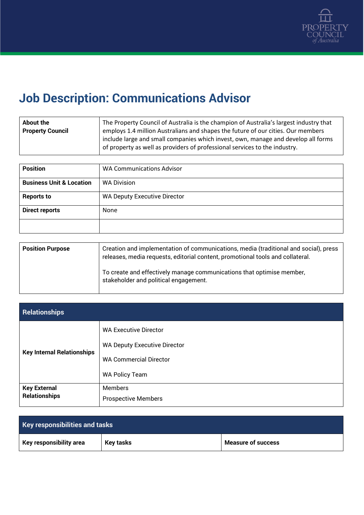

## **Job Description: Communications Advisor**

| The Property Council of Australia is the champion of Australia's largest industry that<br>About the<br>employs 1.4 million Australians and shapes the future of our cities. Our members<br><b>Property Council</b><br>include large and small companies which invest, own, manage and develop all forms<br>of property as well as providers of professional services to the industry. |  |
|---------------------------------------------------------------------------------------------------------------------------------------------------------------------------------------------------------------------------------------------------------------------------------------------------------------------------------------------------------------------------------------|--|
|---------------------------------------------------------------------------------------------------------------------------------------------------------------------------------------------------------------------------------------------------------------------------------------------------------------------------------------------------------------------------------------|--|

| <b>Position</b>                     | <b>WA Communications Advisor</b>    |
|-------------------------------------|-------------------------------------|
| <b>Business Unit &amp; Location</b> | <b>WA Division</b>                  |
| <b>Reports to</b>                   | <b>WA Deputy Executive Director</b> |
| <b>Direct reports</b>               | None                                |
|                                     |                                     |

| <b>Position Purpose</b> | Creation and implementation of communications, media (traditional and social), press<br>releases, media requests, editorial content, promotional tools and collateral. |
|-------------------------|------------------------------------------------------------------------------------------------------------------------------------------------------------------------|
|                         | To create and effectively manage communications that optimise member,<br>stakeholder and political engagement.                                                         |

| <b>Relationships</b>                        |                                                                                                      |
|---------------------------------------------|------------------------------------------------------------------------------------------------------|
| <b>Key Internal Relationships</b>           | <b>WA Executive Director</b><br><b>WA Deputy Executive Director</b><br><b>WA Commercial Director</b> |
|                                             | WA Policy Team                                                                                       |
| <b>Key External</b><br><b>Relationships</b> | <b>Members</b><br><b>Prospective Members</b>                                                         |

| <b>Key responsibilities and tasks</b> |           |                           |
|---------------------------------------|-----------|---------------------------|
| Key responsibility area               | Key tasks | <b>Measure of success</b> |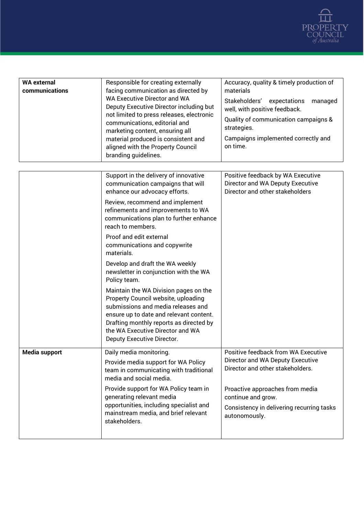

| <b>WA external</b><br>communications | Responsible for creating externally<br>facing communication as directed by<br>WA Executive Director and WA<br>Deputy Executive Director including but<br>not limited to press releases, electronic<br>communications, editorial and<br>marketing content, ensuring all<br>material produced is consistent and<br>aligned with the Property Council<br>branding guidelines. | Accuracy, quality & timely production of<br>materials<br>Stakeholders' expectations<br>managed<br>well, with positive feedback.<br>Quality of communication campaigns &<br>strategies.<br>Campaigns implemented correctly and<br>on time. |
|--------------------------------------|----------------------------------------------------------------------------------------------------------------------------------------------------------------------------------------------------------------------------------------------------------------------------------------------------------------------------------------------------------------------------|-------------------------------------------------------------------------------------------------------------------------------------------------------------------------------------------------------------------------------------------|
|                                      |                                                                                                                                                                                                                                                                                                                                                                            |                                                                                                                                                                                                                                           |
|                                      | Support in the delivery of innovative<br>communication campaigns that will<br>enhance our advocacy efforts.                                                                                                                                                                                                                                                                | Positive feedback by WA Executive<br>Director and WA Deputy Executive<br>Director and other stakeholders                                                                                                                                  |
|                                      | Review, recommend and implement<br>refinements and improvements to WA<br>communications plan to further enhance<br>reach to members.                                                                                                                                                                                                                                       |                                                                                                                                                                                                                                           |
|                                      | Proof and edit external<br>communications and copywrite<br>materials.                                                                                                                                                                                                                                                                                                      |                                                                                                                                                                                                                                           |
|                                      | Develop and draft the WA weekly<br>newsletter in conjunction with the WA<br>Policy team.                                                                                                                                                                                                                                                                                   |                                                                                                                                                                                                                                           |
|                                      | Maintain the WA Division pages on the<br>Property Council website, uploading<br>submissions and media releases and<br>ensure up to date and relevant content.<br>Drafting monthly reports as directed by<br>the WA Executive Director and WA<br>Deputy Executive Director.                                                                                                 |                                                                                                                                                                                                                                           |
| Media support                        | Daily media monitoring.                                                                                                                                                                                                                                                                                                                                                    | Positive feedback from WA Executive                                                                                                                                                                                                       |
|                                      | Provide media support for WA Policy<br>team in communicating with traditional<br>media and social media.                                                                                                                                                                                                                                                                   | Director and WA Deputy Executive<br>Director and other stakeholders.                                                                                                                                                                      |
|                                      | Provide support for WA Policy team in<br>generating relevant media<br>opportunities, including specialist and<br>mainstream media, and brief relevant<br>stakeholders.                                                                                                                                                                                                     | Proactive approaches from media<br>continue and grow.<br>Consistency in delivering recurring tasks<br>autonomously.                                                                                                                       |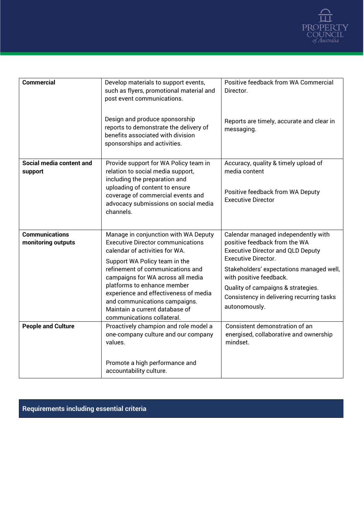

| <b>Commercial</b>                           | Develop materials to support events,<br>such as flyers, promotional material and<br>post event communications.<br>Design and produce sponsorship<br>reports to demonstrate the delivery of<br>benefits associated with division<br>sponsorships and activities.                                                                                                                                       | Positive feedback from WA Commercial<br>Director.<br>Reports are timely, accurate and clear in<br>messaging.                                                                                                                                                                                                              |
|---------------------------------------------|-------------------------------------------------------------------------------------------------------------------------------------------------------------------------------------------------------------------------------------------------------------------------------------------------------------------------------------------------------------------------------------------------------|---------------------------------------------------------------------------------------------------------------------------------------------------------------------------------------------------------------------------------------------------------------------------------------------------------------------------|
| Social media content and<br>support         | Provide support for WA Policy team in<br>relation to social media support,<br>including the preparation and<br>uploading of content to ensure<br>coverage of commercial events and<br>advocacy submissions on social media<br>channels.                                                                                                                                                               | Accuracy, quality & timely upload of<br>media content<br>Positive feedback from WA Deputy<br><b>Executive Director</b>                                                                                                                                                                                                    |
| <b>Communications</b><br>monitoring outputs | Manage in conjunction with WA Deputy<br><b>Executive Director communications</b><br>calendar of activities for WA.<br>Support WA Policy team in the<br>refinement of communications and<br>campaigns for WA across all media<br>platforms to enhance member<br>experience and effectiveness of media<br>and communications campaigns.<br>Maintain a current database of<br>communications collateral. | Calendar managed independently with<br>positive feedback from the WA<br><b>Executive Director and QLD Deputy</b><br><b>Executive Director.</b><br>Stakeholders' expectations managed well,<br>with positive feedback.<br>Quality of campaigns & strategies.<br>Consistency in delivering recurring tasks<br>autonomously. |
| <b>People and Culture</b>                   | Proactively champion and role model a<br>one-company culture and our company<br>values.<br>Promote a high performance and<br>accountability culture.                                                                                                                                                                                                                                                  | Consistent demonstration of an<br>energised, collaborative and ownership<br>mindset.                                                                                                                                                                                                                                      |

## **Requirements including essential criteria**